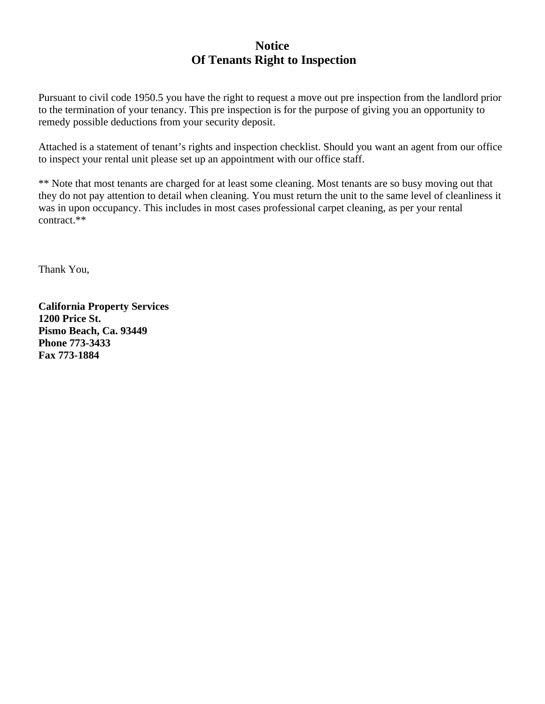## **Notice Of Tenants Right to Inspection**

Pursuant to civil code 1950.5 you have the right to request a move out pre inspection from the landlord prior to the termination of your tenancy. This pre inspection is for the purpose of giving you an opportunity to remedy possible deductions from your security deposit.

Attached is a statement of tenant's rights and inspection checklist. Should you want an agent from our office to inspect your rental unit please set up an appointment with our office staff.

\*\* Note that most tenants are charged for at least some cleaning. Most tenants are so busy moving out that they do not pay attention to detail when cleaning. You must return the unit to the same level of cleanliness it was in upon occupancy. This includes in most cases professional carpet cleaning, as per your rental contract.\*\*

Thank You,

**California Property Services 1200 Price St. Pismo Beach, Ca. 93449 Phone 773-3433 Fax 773-1884**